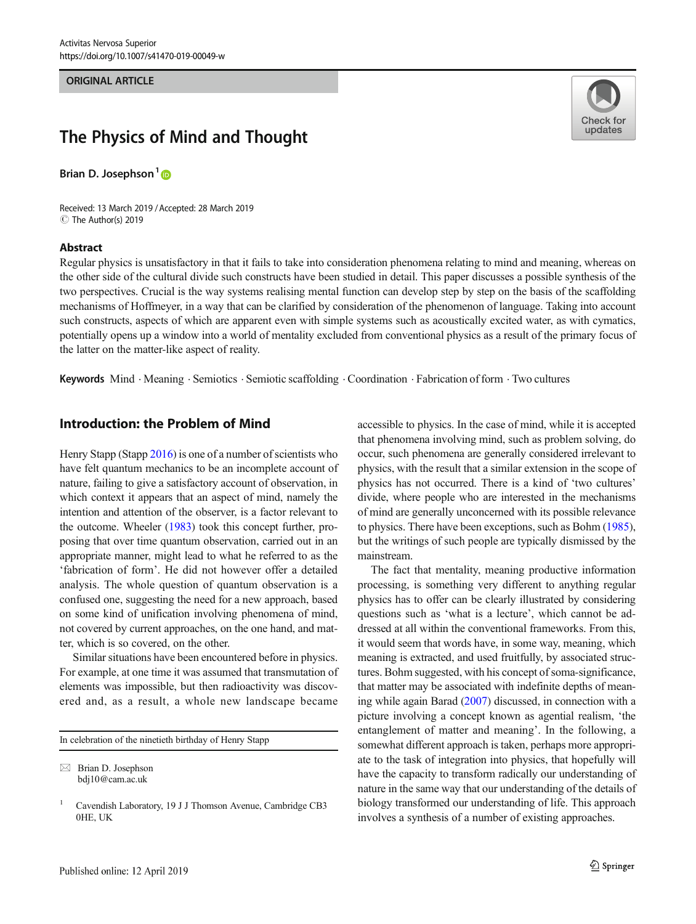#### ORIGINAL ARTICLE

# Check for updates

# The Physics of Mind and Thought

Brian D. Josephson<sup>1</sup><sup>®</sup>

Received: 13 March 2019 /Accepted: 28 March 2019 C The Author(s) 2019

#### Abstract

Regular physics is unsatisfactory in that it fails to take into consideration phenomena relating to mind and meaning, whereas on the other side of the cultural divide such constructs have been studied in detail. This paper discusses a possible synthesis of the two perspectives. Crucial is the way systems realising mental function can develop step by step on the basis of the scaffolding mechanisms of Hoffmeyer, in a way that can be clarified by consideration of the phenomenon of language. Taking into account such constructs, aspects of which are apparent even with simple systems such as acoustically excited water, as with cymatics, potentially opens up a window into a world of mentality excluded from conventional physics as a result of the primary focus of the latter on the matter-like aspect of reality.

Keywords Mind . Meaning . Semiotics . Semiotic scaffolding . Coordination . Fabrication of form . Two cultures

# Introduction: the Problem of Mind

Henry Stapp (Stapp [2016\)](#page-4-0) is one of a number of scientists who have felt quantum mechanics to be an incomplete account of nature, failing to give a satisfactory account of observation, in which context it appears that an aspect of mind, namely the intention and attention of the observer, is a factor relevant to the outcome. Wheeler [\(1983\)](#page-4-0) took this concept further, proposing that over time quantum observation, carried out in an appropriate manner, might lead to what he referred to as the 'fabrication of form'. He did not however offer a detailed analysis. The whole question of quantum observation is a confused one, suggesting the need for a new approach, based on some kind of unification involving phenomena of mind, not covered by current approaches, on the one hand, and matter, which is so covered, on the other.

Similar situations have been encountered before in physics. For example, at one time it was assumed that transmutation of elements was impossible, but then radioactivity was discovered and, as a result, a whole new landscape became

In celebration of the ninetieth birthday of Henry Stapp

 $\boxtimes$  Brian D. Josephson [bdj10@cam.ac.uk](mailto:bdj10@cam.ac.uk)

accessible to physics. In the case of mind, while it is accepted that phenomena involving mind, such as problem solving, do occur, such phenomena are generally considered irrelevant to physics, with the result that a similar extension in the scope of physics has not occurred. There is a kind of 'two cultures' divide, where people who are interested in the mechanisms of mind are generally unconcerned with its possible relevance to physics. There have been exceptions, such as Bohm [\(1985\)](#page-3-0), but the writings of such people are typically dismissed by the mainstream.

The fact that mentality, meaning productive information processing, is something very different to anything regular physics has to offer can be clearly illustrated by considering questions such as 'what is a lecture', which cannot be addressed at all within the conventional frameworks. From this, it would seem that words have, in some way, meaning, which meaning is extracted, and used fruitfully, by associated structures. Bohm suggested, with his concept of soma-significance, that matter may be associated with indefinite depths of meaning while again Barad ([2007](#page-3-0)) discussed, in connection with a picture involving a concept known as agential realism, 'the entanglement of matter and meaning'. In the following, a somewhat different approach is taken, perhaps more appropriate to the task of integration into physics, that hopefully will have the capacity to transform radically our understanding of nature in the same way that our understanding of the details of biology transformed our understanding of life. This approach involves a synthesis of a number of existing approaches.

<sup>&</sup>lt;sup>1</sup> Cavendish Laboratory, 19 J J Thomson Avenue, Cambridge CB3 0HE, UK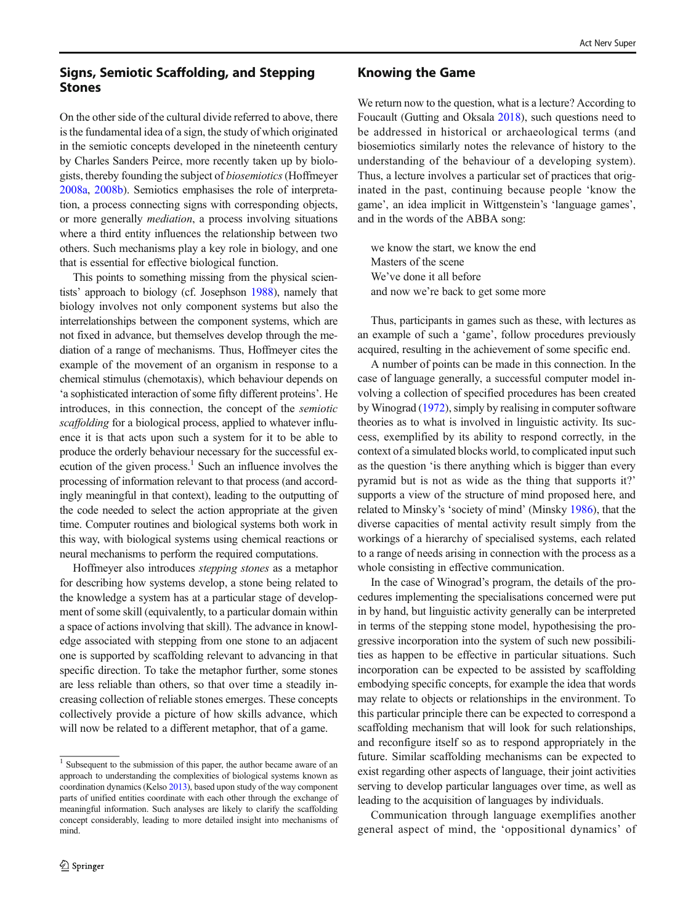# Signs, Semiotic Scaffolding, and Stepping Stones

On the other side of the cultural divide referred to above, there is the fundamental idea of a sign, the study of which originated in the semiotic concepts developed in the nineteenth century by Charles Sanders Peirce, more recently taken up by biologists, thereby founding the subject of biosemiotics(Hoffmeyer [2008a,](#page-3-0) [2008b](#page-4-0)). Semiotics emphasises the role of interpretation, a process connecting signs with corresponding objects, or more generally mediation, a process involving situations where a third entity influences the relationship between two others. Such mechanisms play a key role in biology, and one that is essential for effective biological function.

This points to something missing from the physical scientists' approach to biology (cf. Josephson [1988\)](#page-4-0), namely that biology involves not only component systems but also the interrelationships between the component systems, which are not fixed in advance, but themselves develop through the mediation of a range of mechanisms. Thus, Hoffmeyer cites the example of the movement of an organism in response to a chemical stimulus (chemotaxis), which behaviour depends on 'a sophisticated interaction of some fifty different proteins'. He introduces, in this connection, the concept of the semiotic scaffolding for a biological process, applied to whatever influence it is that acts upon such a system for it to be able to produce the orderly behaviour necessary for the successful execution of the given process. $<sup>1</sup>$  Such an influence involves the</sup> processing of information relevant to that process (and accordingly meaningful in that context), leading to the outputting of the code needed to select the action appropriate at the given time. Computer routines and biological systems both work in this way, with biological systems using chemical reactions or neural mechanisms to perform the required computations.

Hoffmeyer also introduces stepping stones as a metaphor for describing how systems develop, a stone being related to the knowledge a system has at a particular stage of development of some skill (equivalently, to a particular domain within a space of actions involving that skill). The advance in knowledge associated with stepping from one stone to an adjacent one is supported by scaffolding relevant to advancing in that specific direction. To take the metaphor further, some stones are less reliable than others, so that over time a steadily increasing collection of reliable stones emerges. These concepts collectively provide a picture of how skills advance, which will now be related to a different metaphor, that of a game.

#### Knowing the Game

We return now to the question, what is a lecture? According to Foucault (Gutting and Oksala [2018\)](#page-3-0), such questions need to be addressed in historical or archaeological terms (and biosemiotics similarly notes the relevance of history to the understanding of the behaviour of a developing system). Thus, a lecture involves a particular set of practices that originated in the past, continuing because people 'know the game', an idea implicit in Wittgenstein's 'language games', and in the words of the ABBA song:

we know the start, we know the end Masters of the scene We've done it all before and now we're back to get some more

Thus, participants in games such as these, with lectures as an example of such a 'game', follow procedures previously acquired, resulting in the achievement of some specific end.

A number of points can be made in this connection. In the case of language generally, a successful computer model involving a collection of specified procedures has been created by Winograd [\(1972\)](#page-4-0), simply by realising in computer software theories as to what is involved in linguistic activity. Its success, exemplified by its ability to respond correctly, in the context of a simulated blocks world, to complicated input such as the question 'is there anything which is bigger than every pyramid but is not as wide as the thing that supports it?' supports a view of the structure of mind proposed here, and related to Minsky's 'society of mind' (Minsky [1986](#page-4-0)), that the diverse capacities of mental activity result simply from the workings of a hierarchy of specialised systems, each related to a range of needs arising in connection with the process as a whole consisting in effective communication.

In the case of Winograd's program, the details of the procedures implementing the specialisations concerned were put in by hand, but linguistic activity generally can be interpreted in terms of the stepping stone model, hypothesising the progressive incorporation into the system of such new possibilities as happen to be effective in particular situations. Such incorporation can be expected to be assisted by scaffolding embodying specific concepts, for example the idea that words may relate to objects or relationships in the environment. To this particular principle there can be expected to correspond a scaffolding mechanism that will look for such relationships, and reconfigure itself so as to respond appropriately in the future. Similar scaffolding mechanisms can be expected to exist regarding other aspects of language, their joint activities serving to develop particular languages over time, as well as leading to the acquisition of languages by individuals.

Communication through language exemplifies another general aspect of mind, the 'oppositional dynamics' of

<sup>&</sup>lt;sup>1</sup> Subsequent to the submission of this paper, the author became aware of an approach to understanding the complexities of biological systems known as coordination dynamics (Kelso [2013](#page-4-0)), based upon study of the way component parts of unified entities coordinate with each other through the exchange of meaningful information. Such analyses are likely to clarify the scaffolding concept considerably, leading to more detailed insight into mechanisms of mind.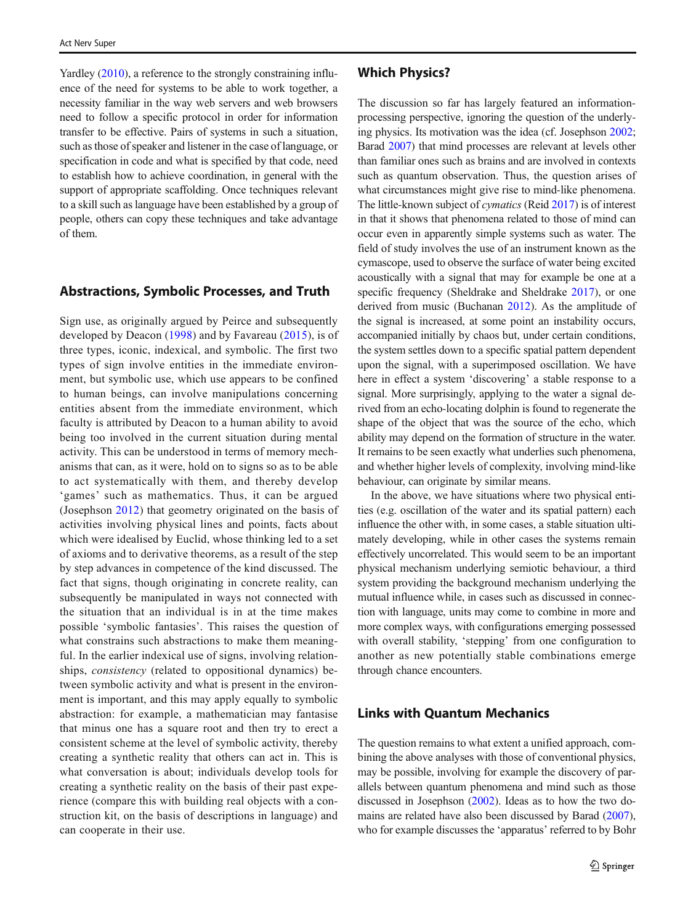Yardley ([2010](#page-4-0)), a reference to the strongly constraining influence of the need for systems to be able to work together, a necessity familiar in the way web servers and web browsers need to follow a specific protocol in order for information transfer to be effective. Pairs of systems in such a situation, such as those of speaker and listener in the case of language, or specification in code and what is specified by that code, need to establish how to achieve coordination, in general with the support of appropriate scaffolding. Once techniques relevant to a skill such as language have been established by a group of people, others can copy these techniques and take advantage of them.

#### Abstractions, Symbolic Processes, and Truth

Sign use, as originally argued by Peirce and subsequently developed by Deacon [\(1998\)](#page-3-0) and by Favareau ([2015](#page-3-0)), is of three types, iconic, indexical, and symbolic. The first two types of sign involve entities in the immediate environment, but symbolic use, which use appears to be confined to human beings, can involve manipulations concerning entities absent from the immediate environment, which faculty is attributed by Deacon to a human ability to avoid being too involved in the current situation during mental activity. This can be understood in terms of memory mechanisms that can, as it were, hold on to signs so as to be able to act systematically with them, and thereby develop 'games' such as mathematics. Thus, it can be argued (Josephson [2012](#page-4-0)) that geometry originated on the basis of activities involving physical lines and points, facts about which were idealised by Euclid, whose thinking led to a set of axioms and to derivative theorems, as a result of the step by step advances in competence of the kind discussed. The fact that signs, though originating in concrete reality, can subsequently be manipulated in ways not connected with the situation that an individual is in at the time makes possible 'symbolic fantasies'. This raises the question of what constrains such abstractions to make them meaningful. In the earlier indexical use of signs, involving relationships, consistency (related to oppositional dynamics) between symbolic activity and what is present in the environment is important, and this may apply equally to symbolic abstraction: for example, a mathematician may fantasise that minus one has a square root and then try to erect a consistent scheme at the level of symbolic activity, thereby creating a synthetic reality that others can act in. This is what conversation is about; individuals develop tools for creating a synthetic reality on the basis of their past experience (compare this with building real objects with a construction kit, on the basis of descriptions in language) and can cooperate in their use.

## Which Physics?

The discussion so far has largely featured an informationprocessing perspective, ignoring the question of the underlying physics. Its motivation was the idea (cf. Josephson [2002;](#page-4-0) Barad [2007](#page-3-0)) that mind processes are relevant at levels other than familiar ones such as brains and are involved in contexts such as quantum observation. Thus, the question arises of what circumstances might give rise to mind-like phenomena. The little-known subject of cymatics (Reid [2017\)](#page-4-0) is of interest in that it shows that phenomena related to those of mind can occur even in apparently simple systems such as water. The field of study involves the use of an instrument known as the cymascope, used to observe the surface of water being excited acoustically with a signal that may for example be one at a specific frequency (Sheldrake and Sheldrake [2017\)](#page-4-0), or one derived from music (Buchanan [2012](#page-3-0)). As the amplitude of the signal is increased, at some point an instability occurs, accompanied initially by chaos but, under certain conditions, the system settles down to a specific spatial pattern dependent upon the signal, with a superimposed oscillation. We have here in effect a system 'discovering' a stable response to a signal. More surprisingly, applying to the water a signal derived from an echo-locating dolphin is found to regenerate the shape of the object that was the source of the echo, which ability may depend on the formation of structure in the water. It remains to be seen exactly what underlies such phenomena, and whether higher levels of complexity, involving mind-like behaviour, can originate by similar means.

In the above, we have situations where two physical entities (e.g. oscillation of the water and its spatial pattern) each influence the other with, in some cases, a stable situation ultimately developing, while in other cases the systems remain effectively uncorrelated. This would seem to be an important physical mechanism underlying semiotic behaviour, a third system providing the background mechanism underlying the mutual influence while, in cases such as discussed in connection with language, units may come to combine in more and more complex ways, with configurations emerging possessed with overall stability, 'stepping' from one configuration to another as new potentially stable combinations emerge through chance encounters.

# Links with Quantum Mechanics

The question remains to what extent a unified approach, combining the above analyses with those of conventional physics, may be possible, involving for example the discovery of parallels between quantum phenomena and mind such as those discussed in Josephson ([2002](#page-4-0)). Ideas as to how the two domains are related have also been discussed by Barad [\(2007\)](#page-3-0), who for example discusses the 'apparatus' referred to by Bohr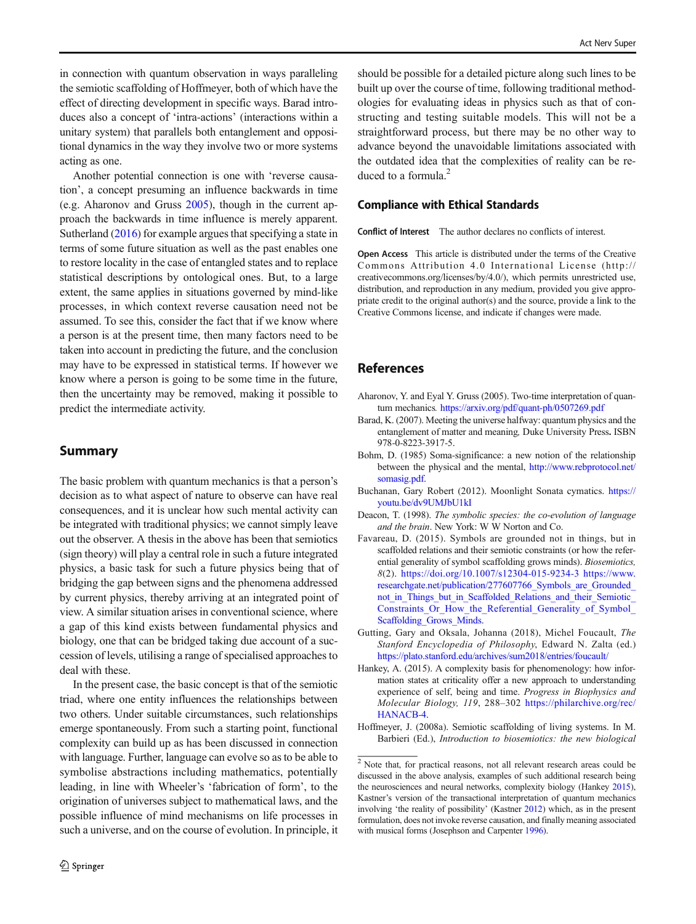<span id="page-3-0"></span>in connection with quantum observation in ways paralleling the semiotic scaffolding of Hoffmeyer, both of which have the effect of directing development in specific ways. Barad introduces also a concept of 'intra-actions' (interactions within a unitary system) that parallels both entanglement and oppositional dynamics in the way they involve two or more systems acting as one.

Another potential connection is one with 'reverse causation', a concept presuming an influence backwards in time (e.g. Aharonov and Gruss 2005), though in the current approach the backwards in time influence is merely apparent. Sutherland ([2016\)](#page-4-0) for example argues that specifying a state in terms of some future situation as well as the past enables one to restore locality in the case of entangled states and to replace statistical descriptions by ontological ones. But, to a large extent, the same applies in situations governed by mind-like processes, in which context reverse causation need not be assumed. To see this, consider the fact that if we know where a person is at the present time, then many factors need to be taken into account in predicting the future, and the conclusion may have to be expressed in statistical terms. If however we know where a person is going to be some time in the future, then the uncertainty may be removed, making it possible to predict the intermediate activity.

## Summary

The basic problem with quantum mechanics is that a person's decision as to what aspect of nature to observe can have real consequences, and it is unclear how such mental activity can be integrated with traditional physics; we cannot simply leave out the observer. A thesis in the above has been that semiotics (sign theory) will play a central role in such a future integrated physics, a basic task for such a future physics being that of bridging the gap between signs and the phenomena addressed by current physics, thereby arriving at an integrated point of view. A similar situation arises in conventional science, where a gap of this kind exists between fundamental physics and biology, one that can be bridged taking due account of a succession of levels, utilising a range of specialised approaches to deal with these.

In the present case, the basic concept is that of the semiotic triad, where one entity influences the relationships between two others. Under suitable circumstances, such relationships emerge spontaneously. From such a starting point, functional complexity can build up as has been discussed in connection with language. Further, language can evolve so as to be able to symbolise abstractions including mathematics, potentially leading, in line with Wheeler's 'fabrication of form', to the origination of universes subject to mathematical laws, and the possible influence of mind mechanisms on life processes in such a universe, and on the course of evolution. In principle, it

should be possible for a detailed picture along such lines to be built up over the course of time, following traditional methodologies for evaluating ideas in physics such as that of constructing and testing suitable models. This will not be a straightforward process, but there may be no other way to advance beyond the unavoidable limitations associated with the outdated idea that the complexities of reality can be reduced to a formula.<sup>2</sup>

#### Compliance with Ethical Standards

Conflict of Interest The author declares no conflicts of interest.

Open Access This article is distributed under the terms of the Creative Commons Attribution 4.0 International License (http:// creativecommons.org/licenses/by/4.0/), which permits unrestricted use, distribution, and reproduction in any medium, provided you give appropriate credit to the original author(s) and the source, provide a link to the Creative Commons license, and indicate if changes were made.

#### References

- Aharonov, Y. and Eyal Y. Gruss (2005). Two-time interpretation of quantum mechanics. <https://arxiv.org/pdf/quant-ph/0507269.pdf>
- Barad, K. (2007). Meeting the universe halfway: quantum physics and the entanglement of matter and meaning, Duke University Press. ISBN 978-0-8223-3917-5.
- Bohm, D. (1985) Soma-significance: a new notion of the relationship between the physical and the mental, [http://www.rebprotocol.net/](http://www.rebprotocol.net/somasig.pdf) [somasig.pdf.](http://www.rebprotocol.net/somasig.pdf)
- Buchanan, Gary Robert (2012). Moonlight Sonata cymatics. [https://](https://youtu.be/dv9UMJbU1kI?t=36) [youtu.be/dv9UMJbU1kI](https://youtu.be/dv9UMJbU1kI?t=36)
- Deacon, T. (1998). The symbolic species: the co-evolution of language and the brain. New York: W W Norton and Co.
- Favareau, D. (2015). Symbols are grounded not in things, but in scaffolded relations and their semiotic constraints (or how the referential generality of symbol scaffolding grows minds). Biosemiotics, 8(2). <https://doi.org/10.1007/s12304-015-9234-3> [https://www.](https://www.researchgate.net/publication/277607766_Symbols_are_Grounded_not_in_Things_but_in_Scaffolded_Relations_and_their_Semiotic_Constraints_Or_How_the_Referential_Generality_of_Symbol_Scaffolding_Grows_Minds) [researchgate.net/publication/277607766\\_Symbols\\_are\\_Grounded\\_](https://www.researchgate.net/publication/277607766_Symbols_are_Grounded_not_in_Things_but_in_Scaffolded_Relations_and_their_Semiotic_Constraints_Or_How_the_Referential_Generality_of_Symbol_Scaffolding_Grows_Minds) not in Things but in Scaffolded Relations and their Semiotic Constraints Or How the Referential Generality of Symbol [Scaffolding\\_Grows\\_Minds](https://www.researchgate.net/publication/277607766_Symbols_are_Grounded_not_in_Things_but_in_Scaffolded_Relations_and_their_Semiotic_Constraints_Or_How_the_Referential_Generality_of_Symbol_Scaffolding_Grows_Minds).
- Gutting, Gary and Oksala, Johanna (2018), Michel Foucault, The Stanford Encyclopedia of Philosophy, Edward N. Zalta (ed.) <https://plato.stanford.edu/archives/sum2018/entries/foucault/>
- Hankey, A. (2015). A complexity basis for phenomenology: how information states at criticality offer a new approach to understanding experience of self, being and time. Progress in Biophysics and Molecular Biology, 119, 288–302 [https://philarchive.org/rec/](https://philarchive.org/rec/HANACB-4) [HANACB-4.](https://philarchive.org/rec/HANACB-4)
- Hoffmeyer, J. (2008a). Semiotic scaffolding of living systems. In M. Barbieri (Ed.), Introduction to biosemiotics: the new biological

<sup>&</sup>lt;sup>2</sup> Note that, for practical reasons, not all relevant research areas could be discussed in the above analysis, examples of such additional research being the neurosciences and neural networks, complexity biology (Hankey 2015), Kastner's version of the transactional interpretation of quantum mechanics involving 'the reality of possibility' (Kastner [2012](#page-4-0)) which, as in the present formulation, does not invoke reverse causation, and finally meaning associated with musical forms (Josephson and Carpenter [1996\)](#page-4-0).